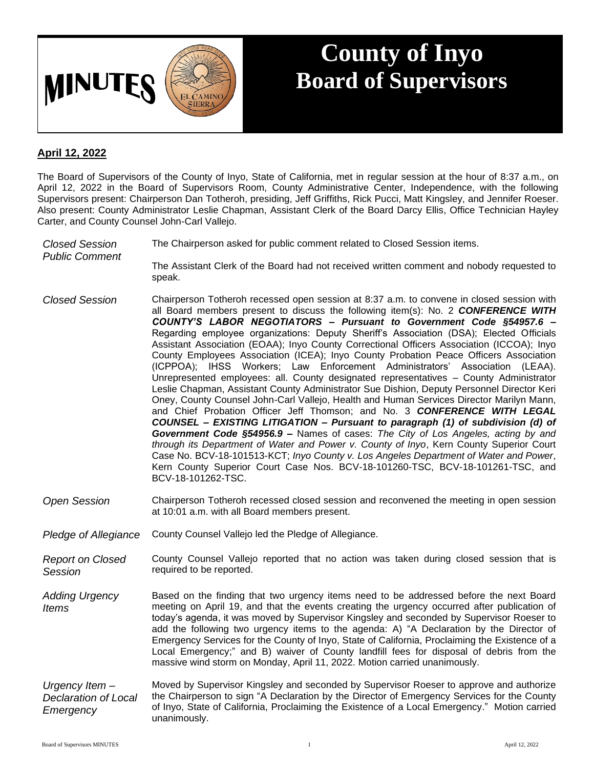

## **County of Inyo Board of Supervisors**

## **April 12, 2022**

The Board of Supervisors of the County of Inyo, State of California, met in regular session at the hour of 8:37 a.m., on April 12, 2022 in the Board of Supervisors Room, County Administrative Center, Independence, with the following Supervisors present: Chairperson Dan Totheroh, presiding, Jeff Griffiths, Rick Pucci, Matt Kingsley, and Jennifer Roeser. Also present: County Administrator Leslie Chapman, Assistant Clerk of the Board Darcy Ellis, Office Technician Hayley Carter, and County Counsel John-Carl Vallejo.

- *Closed Session Public Comment* The Chairperson asked for public comment related to Closed Session items. The Assistant Clerk of the Board had not received written comment and nobody requested to speak. *Closed Session* Chairperson Totheroh recessed open session at 8:37 a.m. to convene in closed session with all Board members present to discuss the following item(s): No. 2 *CONFERENCE WITH COUNTY'S LABOR NEGOTIATORS – Pursuant to Government Code §54957.6 –* Regarding employee organizations: Deputy Sheriff's Association (DSA); Elected Officials Assistant Association (EOAA); Inyo County Correctional Officers Association (ICCOA); Inyo County Employees Association (ICEA); Inyo County Probation Peace Officers Association (ICPPOA); IHSS Workers; Law Enforcement Administrators' Association (LEAA). Unrepresented employees: all. County designated representatives – County Administrator Leslie Chapman, Assistant County Administrator Sue Dishion, Deputy Personnel Director Keri Oney, County Counsel John-Carl Vallejo, Health and Human Services Director Marilyn Mann, and Chief Probation Officer Jeff Thomson; and No. 3 *CONFERENCE WITH LEGAL COUNSEL – EXISTING LITIGATION – Pursuant to paragraph (1) of subdivision (d) of Government Code §54956.9 –* Names of cases: *The City of Los Angeles, acting by and through its Department of Water and Power v. County of Inyo*, Kern County Superior Court Case No. BCV-18-101513-KCT; *Inyo County v. Los Angeles Department of Water and Power*,
- *Open Session* Chairperson Totheroh recessed closed session and reconvened the meeting in open session at 10:01 a.m. with all Board members present.

Kern County Superior Court Case Nos. BCV-18-101260-TSC, BCV-18-101261-TSC, and

*Pledge of Allegiance* County Counsel Vallejo led the Pledge of Allegiance.

BCV-18-101262-TSC.

*Report on Closed Session* County Counsel Vallejo reported that no action was taken during closed session that is required to be reported.

*Adding Urgency Items* Based on the finding that two urgency items need to be addressed before the next Board meeting on April 19, and that the events creating the urgency occurred after publication of today's agenda, it was moved by Supervisor Kingsley and seconded by Supervisor Roeser to add the following two urgency items to the agenda: A) "A Declaration by the Director of Emergency Services for the County of Inyo, State of California, Proclaiming the Existence of a Local Emergency;" and B) waiver of County landfill fees for disposal of debris from the massive wind storm on Monday, April 11, 2022. Motion carried unanimously.

*Urgency Item – Declaration of Local Emergency* Moved by Supervisor Kingsley and seconded by Supervisor Roeser to approve and authorize the Chairperson to sign "A Declaration by the Director of Emergency Services for the County of Inyo, State of California, Proclaiming the Existence of a Local Emergency." Motion carried unanimously.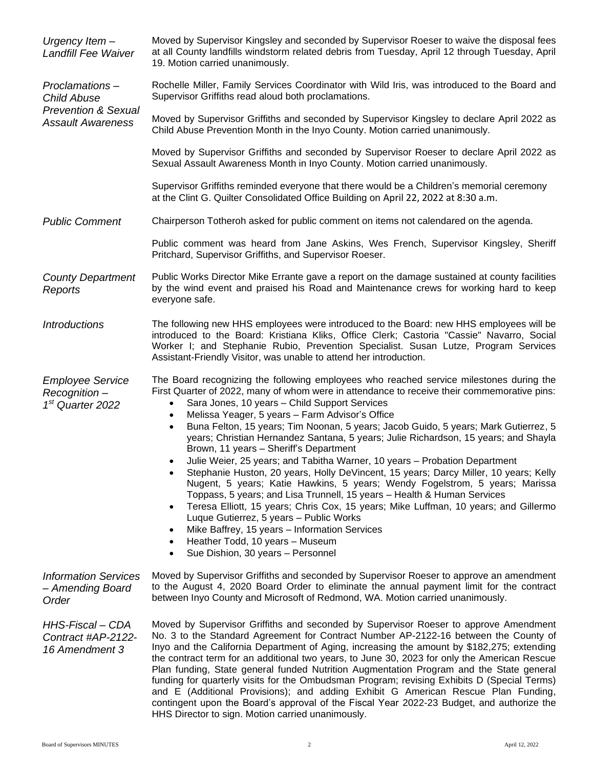| Urgency Item-<br>Landfill Fee Waiver                                                               | Moved by Supervisor Kingsley and seconded by Supervisor Roeser to waive the disposal fees<br>at all County landfills windstorm related debris from Tuesday, April 12 through Tuesday, April<br>19. Motion carried unanimously.                                                                                                                                                                                                                                                                                                                                                                                                                                                                                                                                                                                                                                                                                                                                                                                                                                                                                                                                    |
|----------------------------------------------------------------------------------------------------|-------------------------------------------------------------------------------------------------------------------------------------------------------------------------------------------------------------------------------------------------------------------------------------------------------------------------------------------------------------------------------------------------------------------------------------------------------------------------------------------------------------------------------------------------------------------------------------------------------------------------------------------------------------------------------------------------------------------------------------------------------------------------------------------------------------------------------------------------------------------------------------------------------------------------------------------------------------------------------------------------------------------------------------------------------------------------------------------------------------------------------------------------------------------|
| Proclamations-<br><b>Child Abuse</b><br><b>Prevention &amp; Sexual</b><br><b>Assault Awareness</b> | Rochelle Miller, Family Services Coordinator with Wild Iris, was introduced to the Board and<br>Supervisor Griffiths read aloud both proclamations.                                                                                                                                                                                                                                                                                                                                                                                                                                                                                                                                                                                                                                                                                                                                                                                                                                                                                                                                                                                                               |
|                                                                                                    | Moved by Supervisor Griffiths and seconded by Supervisor Kingsley to declare April 2022 as<br>Child Abuse Prevention Month in the Inyo County. Motion carried unanimously.                                                                                                                                                                                                                                                                                                                                                                                                                                                                                                                                                                                                                                                                                                                                                                                                                                                                                                                                                                                        |
|                                                                                                    | Moved by Supervisor Griffiths and seconded by Supervisor Roeser to declare April 2022 as<br>Sexual Assault Awareness Month in Inyo County. Motion carried unanimously.                                                                                                                                                                                                                                                                                                                                                                                                                                                                                                                                                                                                                                                                                                                                                                                                                                                                                                                                                                                            |
|                                                                                                    | Supervisor Griffiths reminded everyone that there would be a Children's memorial ceremony<br>at the Clint G. Quilter Consolidated Office Building on April 22, 2022 at 8:30 a.m.                                                                                                                                                                                                                                                                                                                                                                                                                                                                                                                                                                                                                                                                                                                                                                                                                                                                                                                                                                                  |
| <b>Public Comment</b>                                                                              | Chairperson Totheroh asked for public comment on items not calendared on the agenda.                                                                                                                                                                                                                                                                                                                                                                                                                                                                                                                                                                                                                                                                                                                                                                                                                                                                                                                                                                                                                                                                              |
|                                                                                                    | Public comment was heard from Jane Askins, Wes French, Supervisor Kingsley, Sheriff<br>Pritchard, Supervisor Griffiths, and Supervisor Roeser.                                                                                                                                                                                                                                                                                                                                                                                                                                                                                                                                                                                                                                                                                                                                                                                                                                                                                                                                                                                                                    |
| <b>County Department</b><br>Reports                                                                | Public Works Director Mike Errante gave a report on the damage sustained at county facilities<br>by the wind event and praised his Road and Maintenance crews for working hard to keep<br>everyone safe.                                                                                                                                                                                                                                                                                                                                                                                                                                                                                                                                                                                                                                                                                                                                                                                                                                                                                                                                                          |
| <b>Introductions</b>                                                                               | The following new HHS employees were introduced to the Board: new HHS employees will be<br>introduced to the Board: Kristiana Kliks, Office Clerk; Castoria "Cassie" Navarro, Social<br>Worker I; and Stephanie Rubio, Prevention Specialist. Susan Lutze, Program Services<br>Assistant-Friendly Visitor, was unable to attend her introduction.                                                                                                                                                                                                                                                                                                                                                                                                                                                                                                                                                                                                                                                                                                                                                                                                                 |
| <b>Employee Service</b><br>Recognition-<br>$1st$ Quarter 2022                                      | The Board recognizing the following employees who reached service milestones during the<br>First Quarter of 2022, many of whom were in attendance to receive their commemorative pins:<br>Sara Jones, 10 years - Child Support Services<br>$\bullet$<br>Melissa Yeager, 5 years - Farm Advisor's Office<br>$\bullet$<br>Buna Felton, 15 years; Tim Noonan, 5 years; Jacob Guido, 5 years; Mark Gutierrez, 5<br>$\bullet$<br>years; Christian Hernandez Santana, 5 years; Julie Richardson, 15 years; and Shayla<br>Brown, 11 years - Sheriff's Department<br>Julie Weier, 25 years; and Tabitha Warner, 10 years - Probation Department<br>Stephanie Huston, 20 years, Holly DeVincent, 15 years; Darcy Miller, 10 years; Kelly<br>Nugent, 5 years; Katie Hawkins, 5 years; Wendy Fogelstrom, 5 years; Marissa<br>Toppass, 5 years; and Lisa Trunnell, 15 years - Health & Human Services<br>Teresa Elliott, 15 years; Chris Cox, 15 years; Mike Luffman, 10 years; and Gillermo<br>$\bullet$<br>Luque Gutierrez, 5 years - Public Works<br>Mike Baffrey, 15 years - Information Services<br>Heather Todd, 10 years - Museum<br>Sue Dishion, 30 years - Personnel |
| <b>Information Services</b><br>- Amending Board<br>Order                                           | Moved by Supervisor Griffiths and seconded by Supervisor Roeser to approve an amendment<br>to the August 4, 2020 Board Order to eliminate the annual payment limit for the contract<br>between Inyo County and Microsoft of Redmond, WA. Motion carried unanimously.                                                                                                                                                                                                                                                                                                                                                                                                                                                                                                                                                                                                                                                                                                                                                                                                                                                                                              |
| HHS-Fiscal - CDA<br>Contract #AP-2122-<br>16 Amendment 3                                           | Moved by Supervisor Griffiths and seconded by Supervisor Roeser to approve Amendment<br>No. 3 to the Standard Agreement for Contract Number AP-2122-16 between the County of<br>Inyo and the California Department of Aging, increasing the amount by \$182,275; extending<br>the contract term for an additional two years, to June 30, 2023 for only the American Rescue<br>Plan funding, State general funded Nutrition Augmentation Program and the State general<br>funding for quarterly visits for the Ombudsman Program; revising Exhibits D (Special Terms)<br>and E (Additional Provisions); and adding Exhibit G American Rescue Plan Funding,<br>contingent upon the Board's approval of the Fiscal Year 2022-23 Budget, and authorize the<br>HHS Director to sign. Motion carried unanimously.                                                                                                                                                                                                                                                                                                                                                       |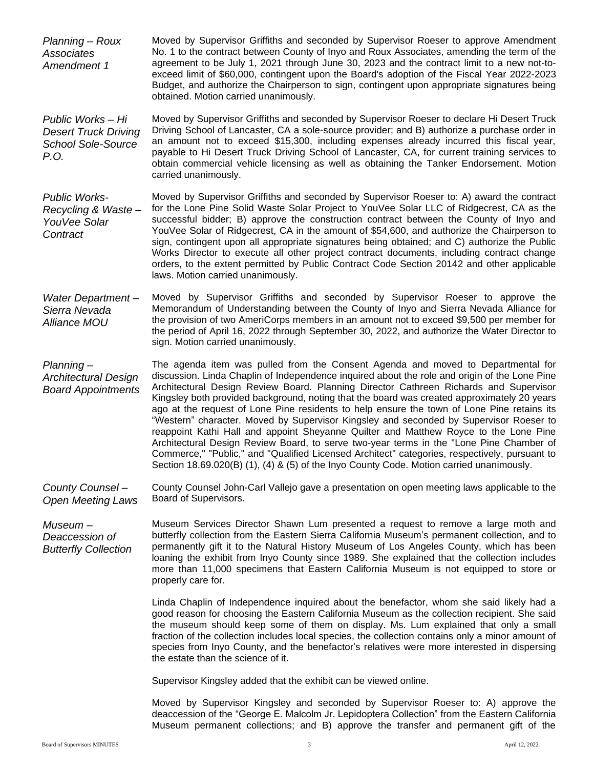*Planning – Roux Associates Amendment 1* Moved by Supervisor Griffiths and seconded by Supervisor Roeser to approve Amendment No. 1 to the contract between County of Inyo and Roux Associates, amending the term of the agreement to be July 1, 2021 through June 30, 2023 and the contract limit to a new not-toexceed limit of \$60,000, contingent upon the Board's adoption of the Fiscal Year 2022-2023 Budget, and authorize the Chairperson to sign, contingent upon appropriate signatures being obtained. Motion carried unanimously.

*Public Works – Hi Desert Truck Driving School Sole-Source P.O.* Moved by Supervisor Griffiths and seconded by Supervisor Roeser to declare Hi Desert Truck Driving School of Lancaster, CA a sole-source provider; and B) authorize a purchase order in an amount not to exceed \$15,300, including expenses already incurred this fiscal year, payable to Hi Desert Truck Driving School of Lancaster, CA, for current training services to obtain commercial vehicle licensing as well as obtaining the Tanker Endorsement. Motion carried unanimously.

*Public Works-Recycling & Waste – YouVee Solar Contract* Moved by Supervisor Griffiths and seconded by Supervisor Roeser to: A) award the contract for the Lone Pine Solid Waste Solar Project to YouVee Solar LLC of Ridgecrest, CA as the successful bidder; B) approve the construction contract between the County of Inyo and YouVee Solar of Ridgecrest, CA in the amount of \$54,600, and authorize the Chairperson to sign, contingent upon all appropriate signatures being obtained; and C) authorize the Public Works Director to execute all other project contract documents, including contract change orders, to the extent permitted by Public Contract Code Section 20142 and other applicable laws. Motion carried unanimously.

*Water Department – Sierra Nevada Alliance MOU* Moved by Supervisor Griffiths and seconded by Supervisor Roeser to approve the Memorandum of Understanding between the County of Inyo and Sierra Nevada Alliance for the provision of two AmeriCorps members in an amount not to exceed \$9,500 per member for the period of April 16, 2022 through September 30, 2022, and authorize the Water Director to sign. Motion carried unanimously.

*Planning – Architectural Design Board Appointments* The agenda item was pulled from the Consent Agenda and moved to Departmental for discussion. Linda Chaplin of Independence inquired about the role and origin of the Lone Pine Architectural Design Review Board. Planning Director Cathreen Richards and Supervisor Kingsley both provided background, noting that the board was created approximately 20 years ago at the request of Lone Pine residents to help ensure the town of Lone Pine retains its "Western" character. Moved by Supervisor Kingsley and seconded by Supervisor Roeser to reappoint Kathi Hall and appoint Sheyanne Quilter and Matthew Royce to the Lone Pine Architectural Design Review Board, to serve two-year terms in the "Lone Pine Chamber of Commerce," "Public," and "Qualified Licensed Architect" categories, respectively, pursuant to Section 18.69.020(B) (1), (4) & (5) of the Inyo County Code. Motion carried unanimously.

*County Counsel – Open Meeting Laws* County Counsel John-Carl Vallejo gave a presentation on open meeting laws applicable to the Board of Supervisors.

*Museum – Deaccession of Butterfly Collection*

Museum Services Director Shawn Lum presented a request to remove a large moth and butterfly collection from the Eastern Sierra California Museum's permanent collection, and to permanently gift it to the Natural History Museum of Los Angeles County, which has been loaning the exhibit from Inyo County since 1989. She explained that the collection includes more than 11,000 specimens that Eastern California Museum is not equipped to store or properly care for.

Linda Chaplin of Independence inquired about the benefactor, whom she said likely had a good reason for choosing the Eastern California Museum as the collection recipient. She said the museum should keep some of them on display. Ms. Lum explained that only a small fraction of the collection includes local species, the collection contains only a minor amount of species from Inyo County, and the benefactor's relatives were more interested in dispersing the estate than the science of it.

Supervisor Kingsley added that the exhibit can be viewed online.

Moved by Supervisor Kingsley and seconded by Supervisor Roeser to: A) approve the deaccession of the "George E. Malcolm Jr. Lepidoptera Collection" from the Eastern California Museum permanent collections; and B) approve the transfer and permanent gift of the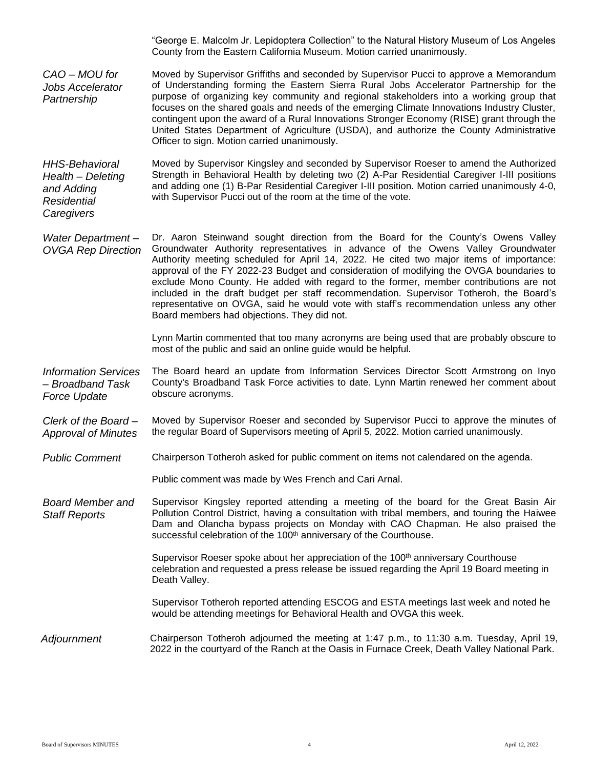|                                                                                       | "George E. Malcolm Jr. Lepidoptera Collection" to the Natural History Museum of Los Angeles<br>County from the Eastern California Museum. Motion carried unanimously.                                                                                                                                                                                                                                                                                                                                                                                                                                                                                                                     |
|---------------------------------------------------------------------------------------|-------------------------------------------------------------------------------------------------------------------------------------------------------------------------------------------------------------------------------------------------------------------------------------------------------------------------------------------------------------------------------------------------------------------------------------------------------------------------------------------------------------------------------------------------------------------------------------------------------------------------------------------------------------------------------------------|
| $CAO - MOU$ for<br><b>Jobs Accelerator</b><br>Partnership                             | Moved by Supervisor Griffiths and seconded by Supervisor Pucci to approve a Memorandum<br>of Understanding forming the Eastern Sierra Rural Jobs Accelerator Partnership for the<br>purpose of organizing key community and regional stakeholders into a working group that<br>focuses on the shared goals and needs of the emerging Climate Innovations Industry Cluster,<br>contingent upon the award of a Rural Innovations Stronger Economy (RISE) grant through the<br>United States Department of Agriculture (USDA), and authorize the County Administrative<br>Officer to sign. Motion carried unanimously.                                                                       |
| <b>HHS-Behavioral</b><br>Health - Deleting<br>and Adding<br>Residential<br>Caregivers | Moved by Supervisor Kingsley and seconded by Supervisor Roeser to amend the Authorized<br>Strength in Behavioral Health by deleting two (2) A-Par Residential Caregiver I-III positions<br>and adding one (1) B-Par Residential Caregiver I-III position. Motion carried unanimously 4-0,<br>with Supervisor Pucci out of the room at the time of the vote.                                                                                                                                                                                                                                                                                                                               |
| Water Department-<br><b>OVGA Rep Direction</b>                                        | Dr. Aaron Steinwand sought direction from the Board for the County's Owens Valley<br>Groundwater Authority representatives in advance of the Owens Valley Groundwater<br>Authority meeting scheduled for April 14, 2022. He cited two major items of importance:<br>approval of the FY 2022-23 Budget and consideration of modifying the OVGA boundaries to<br>exclude Mono County. He added with regard to the former, member contributions are not<br>included in the draft budget per staff recommendation. Supervisor Totheroh, the Board's<br>representative on OVGA, said he would vote with staff's recommendation unless any other<br>Board members had objections. They did not. |
|                                                                                       | Lynn Martin commented that too many acronyms are being used that are probably obscure to<br>most of the public and said an online guide would be helpful.                                                                                                                                                                                                                                                                                                                                                                                                                                                                                                                                 |
| <b>Information Services</b><br>- Broadband Task<br><b>Force Update</b>                | The Board heard an update from Information Services Director Scott Armstrong on Inyo<br>County's Broadband Task Force activities to date. Lynn Martin renewed her comment about<br>obscure acronyms.                                                                                                                                                                                                                                                                                                                                                                                                                                                                                      |
| Clerk of the Board-<br><b>Approval of Minutes</b>                                     | Moved by Supervisor Roeser and seconded by Supervisor Pucci to approve the minutes of<br>the regular Board of Supervisors meeting of April 5, 2022. Motion carried unanimously.                                                                                                                                                                                                                                                                                                                                                                                                                                                                                                           |
| <b>Public Comment</b>                                                                 | Chairperson Totheroh asked for public comment on items not calendared on the agenda.                                                                                                                                                                                                                                                                                                                                                                                                                                                                                                                                                                                                      |
|                                                                                       | Public comment was made by Wes French and Cari Arnal.                                                                                                                                                                                                                                                                                                                                                                                                                                                                                                                                                                                                                                     |
| <b>Board Member and</b><br><b>Staff Reports</b>                                       | Supervisor Kingsley reported attending a meeting of the board for the Great Basin Air<br>Pollution Control District, having a consultation with tribal members, and touring the Haiwee<br>Dam and Olancha bypass projects on Monday with CAO Chapman. He also praised the<br>successful celebration of the 100 <sup>th</sup> anniversary of the Courthouse.                                                                                                                                                                                                                                                                                                                               |
|                                                                                       | Supervisor Roeser spoke about her appreciation of the 100 <sup>th</sup> anniversary Courthouse<br>celebration and requested a press release be issued regarding the April 19 Board meeting in<br>Death Valley.                                                                                                                                                                                                                                                                                                                                                                                                                                                                            |
|                                                                                       | Supervisor Totheroh reported attending ESCOG and ESTA meetings last week and noted he<br>would be attending meetings for Behavioral Health and OVGA this week.                                                                                                                                                                                                                                                                                                                                                                                                                                                                                                                            |
| Adjournment                                                                           | Chairperson Totheroh adjourned the meeting at 1:47 p.m., to 11:30 a.m. Tuesday, April 19,<br>2022 in the courtyard of the Ranch at the Oasis in Furnace Creek, Death Valley National Park.                                                                                                                                                                                                                                                                                                                                                                                                                                                                                                |